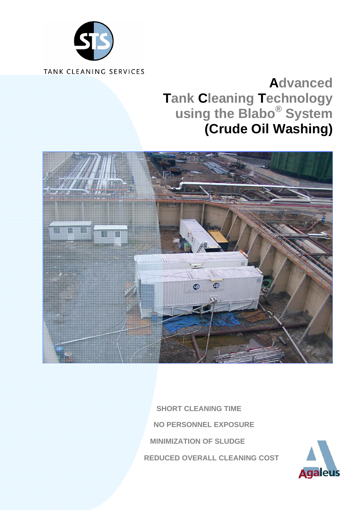

# **Advanced Tank Cleaning Technology using the Blabo® System (Crude Oil Washing)**



 **SHORT CLEANING TIME NO PERSONNEL EXPOSURE MINIMIZATION OF SLUDGE REDUCED OVERALL CLEANING COST** 

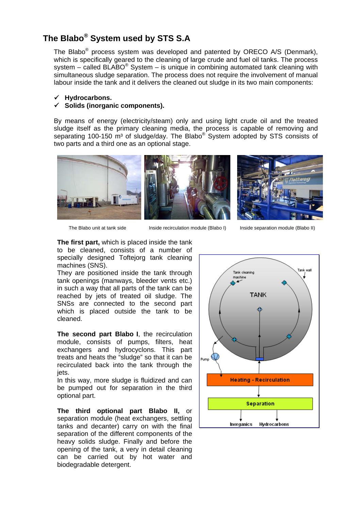# **The Blabo® System used by STS S.A**

The Blabo® process system was developed and patented by ORECO A/S (Denmark), which is specifically geared to the cleaning of large crude and fuel oil tanks. The process system – called BLABO<sup>®</sup> System – is unique in combining automated tank cleaning with simultaneous sludge separation. The process does not require the involvement of manual labour inside the tank and it delivers the cleaned out sludge in its two main components:

#### 9 **Hydrocarbons.**

#### 9 **Solids (inorganic components).**

By means of energy (electricity/steam) only and using light crude oil and the treated sludge itself as the primary cleaning media, the process is capable of removing and separating 100-150 m<sup>3</sup> of sludge/day. The Blabo<sup>®</sup> System adopted by STS consists of two parts and a third one as an optional stage.



The Blabo unit at tank side Inside recirculation module (Blabo I) Inside separation module (Blabo II)

**The first part,** which is placed inside the tank to be cleaned, consists of a number of specially designed Toftejorg tank cleaning machines (SNS).

They are positioned inside the tank through tank openings (manways, bleeder vents etc.) in such a way that all parts of the tank can be reached by jets of treated oil sludge. The SNSs are connected to the second part which is placed outside the tank to be cleaned.

**The second part Blabo I**, the recirculation module, consists of pumps, filters, heat exchangers and hydrocyclons. This part treats and heats the "sludge" so that it can be recirculated back into the tank through the jets.

In this way, more sludge is fluidized and can be pumped out for separation in the third optional part.

**The third optional part Blabo II,** or separation module (heat exchangers, settling tanks and decanter) carry on with the final separation of the different components of the heavy solids sludge. Finally and before the opening of the tank, a very in detail cleaning can be carried out by hot water and biodegradable detergent.

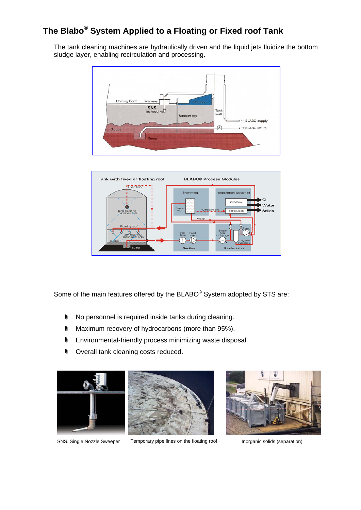# **The Blabo® System Applied to a Floating or Fixed roof Tank**

The tank cleaning machines are hydraulically driven and the liquid jets fluidize the bottom sludge layer, enabling recirculation and processing.





Some of the main features offered by the BLABO® System adopted by STS are:

- No personnel is required inside tanks during cleaning.
- **Maximum recovery of hydrocarbons (more than 95%).**
- **Environmental-friendly process minimizing waste disposal.**
- **Discute Coverall tank cleaning costs reduced.**





SNS. Single Nozzle Sweeper Temporary pipe lines on the floating roof Inorganic solids (separation)